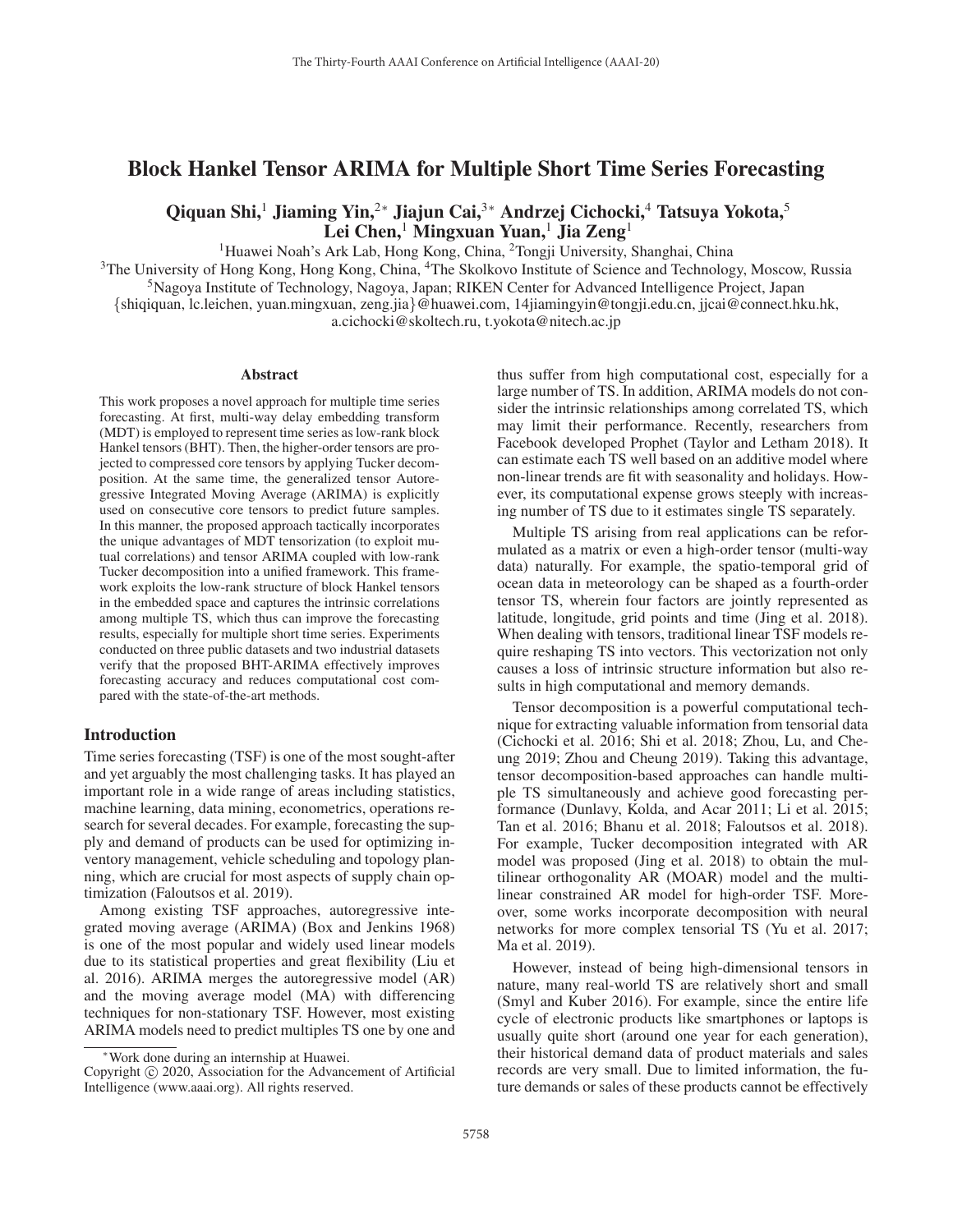# Block Hankel Tensor ARIMA for Multiple Short Time Series Forecasting

# Qiquan Shi,<sup>1</sup> Jiaming Yin,<sup>2∗</sup> Jiajun Cai,<sup>3</sup><sup>∗</sup> Andrzej Cichocki,<sup>4</sup> Tatsuya Yokota,<sup>5</sup> Lei Chen,<sup>1</sup> Mingxuan Yuan,<sup>1</sup> Jia Zeng<sup>1</sup>

<sup>1</sup>Huawei Noah's Ark Lab, Hong Kong, China, <sup>2</sup>Tongji University, Shanghai, China

<sup>3</sup>The University of Hong Kong, Hong Kong, China, <sup>4</sup>The Skolkovo Institute of Science and Technology, Moscow, Russia <sup>5</sup>Nagoya Institute of Technology, Nagoya, Japan; RIKEN Center for Advanced Intelligence Project, Japan {shiqiquan, lc.leichen, yuan.mingxuan, zeng.jia}@huawei.com, 14jiamingyin@tongji.edu.cn, jjcai@connect.hku.hk, a.cichocki@skoltech.ru, t.yokota@nitech.ac.jp

#### **Abstract**

This work proposes a novel approach for multiple time series forecasting. At first, multi-way delay embedding transform (MDT) is employed to represent time series as low-rank block Hankel tensors (BHT). Then, the higher-order tensors are projected to compressed core tensors by applying Tucker decomposition. At the same time, the generalized tensor Autoregressive Integrated Moving Average (ARIMA) is explicitly used on consecutive core tensors to predict future samples. In this manner, the proposed approach tactically incorporates the unique advantages of MDT tensorization (to exploit mutual correlations) and tensor ARIMA coupled with low-rank Tucker decomposition into a unified framework. This framework exploits the low-rank structure of block Hankel tensors in the embedded space and captures the intrinsic correlations among multiple TS, which thus can improve the forecasting results, especially for multiple short time series. Experiments conducted on three public datasets and two industrial datasets verify that the proposed BHT-ARIMA effectively improves forecasting accuracy and reduces computational cost compared with the state-of-the-art methods.

# Introduction

Time series forecasting (TSF) is one of the most sought-after and yet arguably the most challenging tasks. It has played an important role in a wide range of areas including statistics, machine learning, data mining, econometrics, operations research for several decades. For example, forecasting the supply and demand of products can be used for optimizing inventory management, vehicle scheduling and topology planning, which are crucial for most aspects of supply chain optimization (Faloutsos et al. 2019).

Among existing TSF approaches, autoregressive integrated moving average (ARIMA) (Box and Jenkins 1968) is one of the most popular and widely used linear models due to its statistical properties and great flexibility (Liu et al. 2016). ARIMA merges the autoregressive model (AR) and the moving average model (MA) with differencing techniques for non-stationary TSF. However, most existing ARIMA models need to predict multiples TS one by one and

thus suffer from high computational cost, especially for a large number of TS. In addition, ARIMA models do not consider the intrinsic relationships among correlated TS, which may limit their performance. Recently, researchers from Facebook developed Prophet (Taylor and Letham 2018). It can estimate each TS well based on an additive model where non-linear trends are fit with seasonality and holidays. However, its computational expense grows steeply with increasing number of TS due to it estimates single TS separately.

Multiple TS arising from real applications can be reformulated as a matrix or even a high-order tensor (multi-way data) naturally. For example, the spatio-temporal grid of ocean data in meteorology can be shaped as a fourth-order tensor TS, wherein four factors are jointly represented as latitude, longitude, grid points and time (Jing et al. 2018). When dealing with tensors, traditional linear TSF models require reshaping TS into vectors. This vectorization not only causes a loss of intrinsic structure information but also results in high computational and memory demands.

Tensor decomposition is a powerful computational technique for extracting valuable information from tensorial data (Cichocki et al. 2016; Shi et al. 2018; Zhou, Lu, and Cheung 2019; Zhou and Cheung 2019). Taking this advantage, tensor decomposition-based approaches can handle multiple TS simultaneously and achieve good forecasting performance (Dunlavy, Kolda, and Acar 2011; Li et al. 2015; Tan et al. 2016; Bhanu et al. 2018; Faloutsos et al. 2018). For example, Tucker decomposition integrated with AR model was proposed (Jing et al. 2018) to obtain the multilinear orthogonality AR (MOAR) model and the multilinear constrained AR model for high-order TSF. Moreover, some works incorporate decomposition with neural networks for more complex tensorial TS (Yu et al. 2017; Ma et al. 2019).

However, instead of being high-dimensional tensors in nature, many real-world TS are relatively short and small (Smyl and Kuber 2016). For example, since the entire life cycle of electronic products like smartphones or laptops is usually quite short (around one year for each generation), their historical demand data of product materials and sales records are very small. Due to limited information, the future demands or sales of these products cannot be effectively

<sup>∗</sup>Work done during an internship at Huawei.

Copyright  $\odot$  2020, Association for the Advancement of Artificial Intelligence (www.aaai.org). All rights reserved.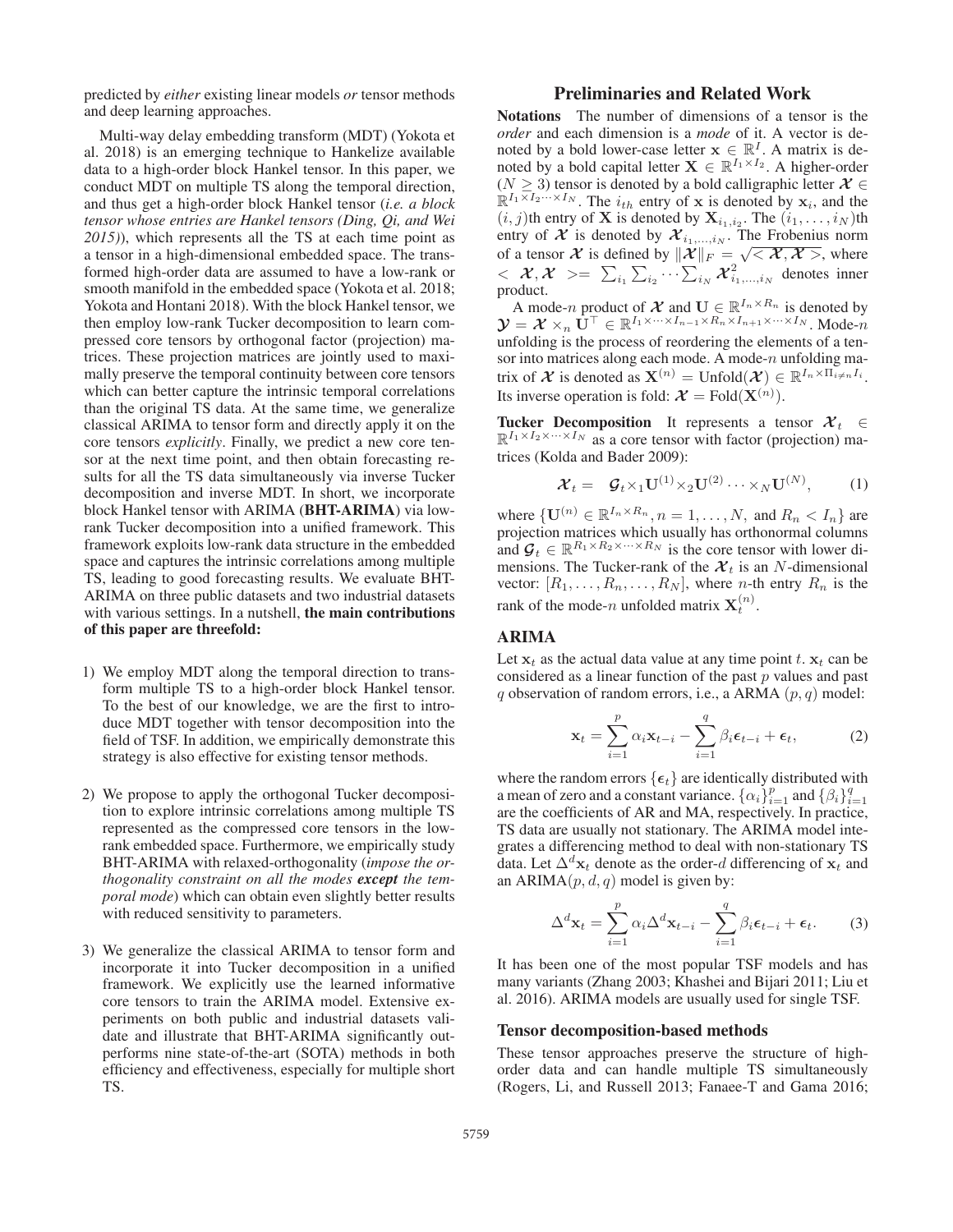predicted by *either* existing linear models *or* tensor methods and deep learning approaches.

Multi-way delay embedding transform (MDT) (Yokota et al. 2018) is an emerging technique to Hankelize available data to a high-order block Hankel tensor. In this paper, we conduct MDT on multiple TS along the temporal direction, and thus get a high-order block Hankel tensor (*i.e. a block tensor whose entries are Hankel tensors (Ding, Qi, and Wei 2015)*), which represents all the TS at each time point as a tensor in a high-dimensional embedded space. The transformed high-order data are assumed to have a low-rank or smooth manifold in the embedded space (Yokota et al. 2018; Yokota and Hontani 2018). With the block Hankel tensor, we then employ low-rank Tucker decomposition to learn compressed core tensors by orthogonal factor (projection) matrices. These projection matrices are jointly used to maximally preserve the temporal continuity between core tensors which can better capture the intrinsic temporal correlations than the original TS data. At the same time, we generalize classical ARIMA to tensor form and directly apply it on the core tensors *explicitly*. Finally, we predict a new core tensor at the next time point, and then obtain forecasting results for all the TS data simultaneously via inverse Tucker decomposition and inverse MDT. In short, we incorporate block Hankel tensor with ARIMA (BHT-ARIMA) via lowrank Tucker decomposition into a unified framework. This framework exploits low-rank data structure in the embedded space and captures the intrinsic correlations among multiple TS, leading to good forecasting results. We evaluate BHT-ARIMA on three public datasets and two industrial datasets with various settings. In a nutshell, the main contributions of this paper are threefold:

- 1) We employ MDT along the temporal direction to transform multiple TS to a high-order block Hankel tensor. To the best of our knowledge, we are the first to introduce MDT together with tensor decomposition into the field of TSF. In addition, we empirically demonstrate this strategy is also effective for existing tensor methods.
- 2) We propose to apply the orthogonal Tucker decomposition to explore intrinsic correlations among multiple TS represented as the compressed core tensors in the lowrank embedded space. Furthermore, we empirically study BHT-ARIMA with relaxed-orthogonality (*impose the orthogonality constraint on all the modes except the temporal mode*) which can obtain even slightly better results with reduced sensitivity to parameters.
- 3) We generalize the classical ARIMA to tensor form and incorporate it into Tucker decomposition in a unified framework. We explicitly use the learned informative core tensors to train the ARIMA model. Extensive experiments on both public and industrial datasets validate and illustrate that BHT-ARIMA significantly outperforms nine state-of-the-art (SOTA) methods in both efficiency and effectiveness, especially for multiple short TS.

# Preliminaries and Related Work

Notations The number of dimensions of a tensor is the *order* and each dimension is a *mode* of it. A vector is denoted by a bold lower-case letter  $\mathbf{x} \in \mathbb{R}^I$ . A matrix is denoted by a bold capital letter  $\mathbf{X} \in \mathbb{R}^{I_1 \times I_2}$ . A higher-order ( $N \geq 3$ ) tensor is denoted by a bold calligraphic letter  $\mathcal{X} \in$  $\mathbb{R}^{I_1 \times I_2 \times \dots \times I_N}$ . The  $i_{th}$  entry of **x** is denoted by **x**<sub>i</sub>, and the  $(i, j)$ th entry of **X** is denoted by  $\mathbf{X}_{i_1, i_2}$ . The  $(i_1, \ldots, i_N)$ th entry of *X* is denoted by  $\mathcal{X}_{i_1,\dots,i_N}$ . The Frobenius norm of a tensor *X* is defined by  $\|\mathcal{X}\|_F = \sqrt{\langle \mathcal{X}, \mathcal{X} \rangle}$ , where  $\langle \mathcal{X}, \mathcal{X} \rangle = \sum_{i_1} \sum_{i_2} \cdots \sum_{i_N} \mathcal{X}_{i_1,\dots,i_N}^2$  denotes inner product.

A mode-n product of  $\mathcal{X}$  and  $\mathbf{U} \in \mathbb{R}^{I_n \times R_n}$  is denoted by  $\mathcal{Y} = \mathcal{X} \times_n \mathbf{U}^\top \in \mathbb{R}^{I_1 \times \cdots \times I_{n-1} \times R_n \times I_{n+1} \times \cdots \times I_N}$ . Mode-n unfolding is the process of reordering the elements of a tensor into matrices along each mode. A mode- $n$  unfolding matrix of *X* is denoted as  $\mathbf{X}^{(n)} = \text{Unfold}(\boldsymbol{\mathcal{X}}) \in \mathbb{R}^{I_n \times \prod_{i \neq n}^{n} I_i}$ . Its inverse operation is fold:  $\mathcal{X} = \text{Fold}(\mathbf{X}^{(n)})$ .

Tucker Decomposition It represents a tensor  $\mathcal{X}_t \in$  $\mathbb{R}^{I_1 \times I_2 \times \cdots \times I_N}$  as a core tensor with factor (projection) matrices (Kolda and Bader 2009):

$$
\mathcal{X}_t = \mathcal{G}_t \times_1 \mathbf{U}^{(1)} \times_2 \mathbf{U}^{(2)} \cdots \times_N \mathbf{U}^{(N)}, \qquad (1)
$$

where  $\{ \mathbf{U}^{(n)} \in \mathbb{R}^{I_n \times R_n}, n = 1, \dots, N$ , and  $R_n < I_n \}$  are projection matrices which usually has orthonormal columns and  $\mathcal{G}_t \in \mathbb{R}^{R_1 \times R_2 \times \cdots \times R_N}$  is the core tensor with lower dimensions. The Tucker-rank of the  $\mathcal{X}_t$  is an N-dimensional vector:  $[R_1, \ldots, R_n, \ldots, R_N]$ , where *n*-th entry  $R_n$  is the rank of the mode-n unfolded matrix  $\mathbf{X}_t^{(n)}$ .

## ARIMA

Let  $x_t$  as the actual data value at any time point t.  $x_t$  can be considered as a linear function of the past  $p$  values and past q observation of random errors, i.e., a ARMA  $(p, q)$  model:

$$
\mathbf{x}_t = \sum_{i=1}^p \alpha_i \mathbf{x}_{t-i} - \sum_{i=1}^q \beta_i \boldsymbol{\epsilon}_{t-i} + \boldsymbol{\epsilon}_t, \tag{2}
$$

where the random errors  $\{\epsilon_t\}$  are identically distributed with a mean of zero and a constant variance.  $\{\alpha_i\}_{i=1}^p$  and  $\{\beta_i\}_{i=1}^q$ are the coefficients of AR and MA, respectively. In practice, TS data are usually not stationary. The ARIMA model integrates a differencing method to deal with non-stationary TS data. Let  $\Delta^d$ **x**<sub>t</sub> denote as the order-d differencing of **x**<sub>t</sub> and an ARIMA $(p, d, q)$  model is given by:

$$
\Delta^d \mathbf{x}_t = \sum_{i=1}^p \alpha_i \Delta^d \mathbf{x}_{t-i} - \sum_{i=1}^q \beta_i \epsilon_{t-i} + \epsilon_t.
$$
 (3)

It has been one of the most popular TSF models and has many variants (Zhang 2003; Khashei and Bijari 2011; Liu et al. 2016). ARIMA models are usually used for single TSF.

### Tensor decomposition-based methods

These tensor approaches preserve the structure of highorder data and can handle multiple TS simultaneously (Rogers, Li, and Russell 2013; Fanaee-T and Gama 2016;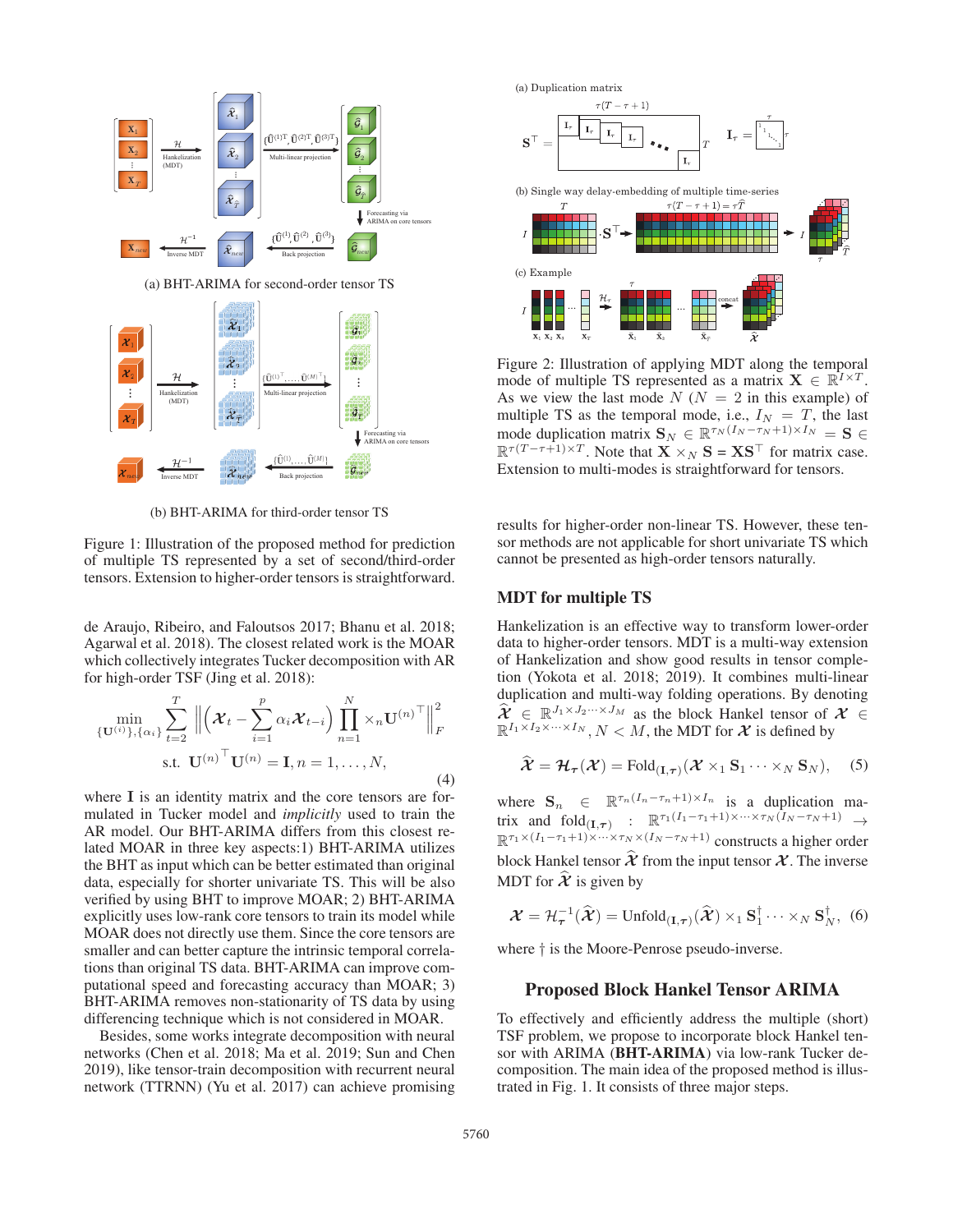

(b) BHT-ARIMA for third-order tensor TS

Figure 1: Illustration of the proposed method for prediction of multiple TS represented by a set of second/third-order tensors. Extension to higher-order tensors is straightforward.

de Araujo, Ribeiro, and Faloutsos 2017; Bhanu et al. 2018; Agarwal et al. 2018). The closest related work is the MOAR which collectively integrates Tucker decomposition with AR for high-order TSF (Jing et al. 2018):

$$
\min_{\{\mathbf{U}^{(i)}\},\{\alpha_i\}} \sum_{t=2}^T \left\| \left( \boldsymbol{\mathcal{X}}_t - \sum_{i=1}^p \alpha_i \boldsymbol{\mathcal{X}}_{t-i} \right) \prod_{n=1}^N \times_n \mathbf{U}^{(n)^\top} \right\|_F^2
$$
\ns.t.  $\mathbf{U}^{(n)^\top} \mathbf{U}^{(n)} = \mathbf{I}, n = 1, \dots, N,$ \n
$$
(4)
$$

where **I** is an identity matrix and the core tensors are formulated in Tucker model and *implicitly* used to train the AR model. Our BHT-ARIMA differs from this closest related MOAR in three key aspects:1) BHT-ARIMA utilizes the BHT as input which can be better estimated than original data, especially for shorter univariate TS. This will be also verified by using BHT to improve MOAR; 2) BHT-ARIMA explicitly uses low-rank core tensors to train its model while MOAR does not directly use them. Since the core tensors are smaller and can better capture the intrinsic temporal correlations than original TS data. BHT-ARIMA can improve computational speed and forecasting accuracy than MOAR; 3) BHT-ARIMA removes non-stationarity of TS data by using differencing technique which is not considered in MOAR.

Besides, some works integrate decomposition with neural networks (Chen et al. 2018; Ma et al. 2019; Sun and Chen 2019), like tensor-train decomposition with recurrent neural network (TTRNN) (Yu et al. 2017) can achieve promising





Figure 2: Illustration of applying MDT along the temporal mode of multiple TS represented as a matrix  $X \in \mathbb{R}^{I \times T}$ . As we view the last mode  $N(N = 2$  in this example) of multiple TS as the temporal mode, i.e.,  $I_N = T$ , the last mode duplication matrix  $\mathbf{S}_N \in \mathbb{R}^{\tau_N (I_N - \tau_N + 1) \times I_N} = \mathbf{S} \in$  $\mathbb{R}^{\tau(T-\tau+1)\times T}$ . Note that  $\mathbf{X} \times_N \mathbf{S} = \mathbf{X}\mathbf{S}^\top$  for matrix case. Extension to multi-modes is straightforward for tensors.

results for higher-order non-linear TS. However, these tensor methods are not applicable for short univariate TS which cannot be presented as high-order tensors naturally.

# MDT for multiple TS

Hankelization is an effective way to transform lower-order data to higher-order tensors. MDT is a multi-way extension of Hankelization and show good results in tensor completion (Yokota et al. 2018; 2019). It combines multi-linear duplication and multi-way folding operations. By denoting  $\widehat{\mathcal{X}} \in \mathbb{R}^{J_1 \times J_2 \cdots \times J_M}$  as the block Hankel tensor of  $\mathcal{X} \in$  $\mathbb{R}^{I_1 \times I_2 \times \cdots \times I_N}$ ,  $N < M$ , the MDT for  $\mathcal X$  is defined by

$$
\widehat{\mathcal{X}} = \mathcal{H}_{\boldsymbol{\tau}}(\mathcal{X}) = \text{Fold}_{(\mathbf{I}, \boldsymbol{\tau})}(\mathcal{X} \times_1 \mathbf{S}_1 \cdots \times_N \mathbf{S}_N), \quad (5)
$$

where  $\mathbf{S}_n \in \mathbb{R}^{\tau_n(I_n-\tau_n+1)\times I_n}$  is a duplication matrix and  $\text{fold}_{(\mathbf{I},\boldsymbol{\tau})}$  :  $\mathbb{R}^{\tau_1(I_1-\tau_1+1)\times\cdots\times\tau_N(\tilde{I}_N-\tau_N+1)}$   $\rightarrow$  $\mathbb{R}^{\tau_1 \times (I_1 - \tau_1 + 1) \times \cdots \times \tau_N \times (I_N - \tau_N + 1)}$  constructs a higher order block Hankel tensor  $\hat{\mathcal{X}}$  from the input tensor  $\hat{\mathcal{X}}$ . The inverse MDT for  $\hat{\mathcal{X}}$  is given by

$$
\mathcal{X} = \mathcal{H}_{\boldsymbol{\tau}}^{-1}(\widehat{\mathcal{X}}) = \text{Unfold}_{(\mathbf{I}, \boldsymbol{\tau})}(\widehat{\mathcal{X}}) \times_1 \mathbf{S}_1^{\dagger} \cdots \times_N \mathbf{S}_N^{\dagger}, \tag{6}
$$

where  $\dagger$  is the Moore-Penrose pseudo-inverse.

### Proposed Block Hankel Tensor ARIMA

To effectively and efficiently address the multiple (short) TSF problem, we propose to incorporate block Hankel tensor with ARIMA (BHT-ARIMA) via low-rank Tucker decomposition. The main idea of the proposed method is illustrated in Fig. 1. It consists of three major steps.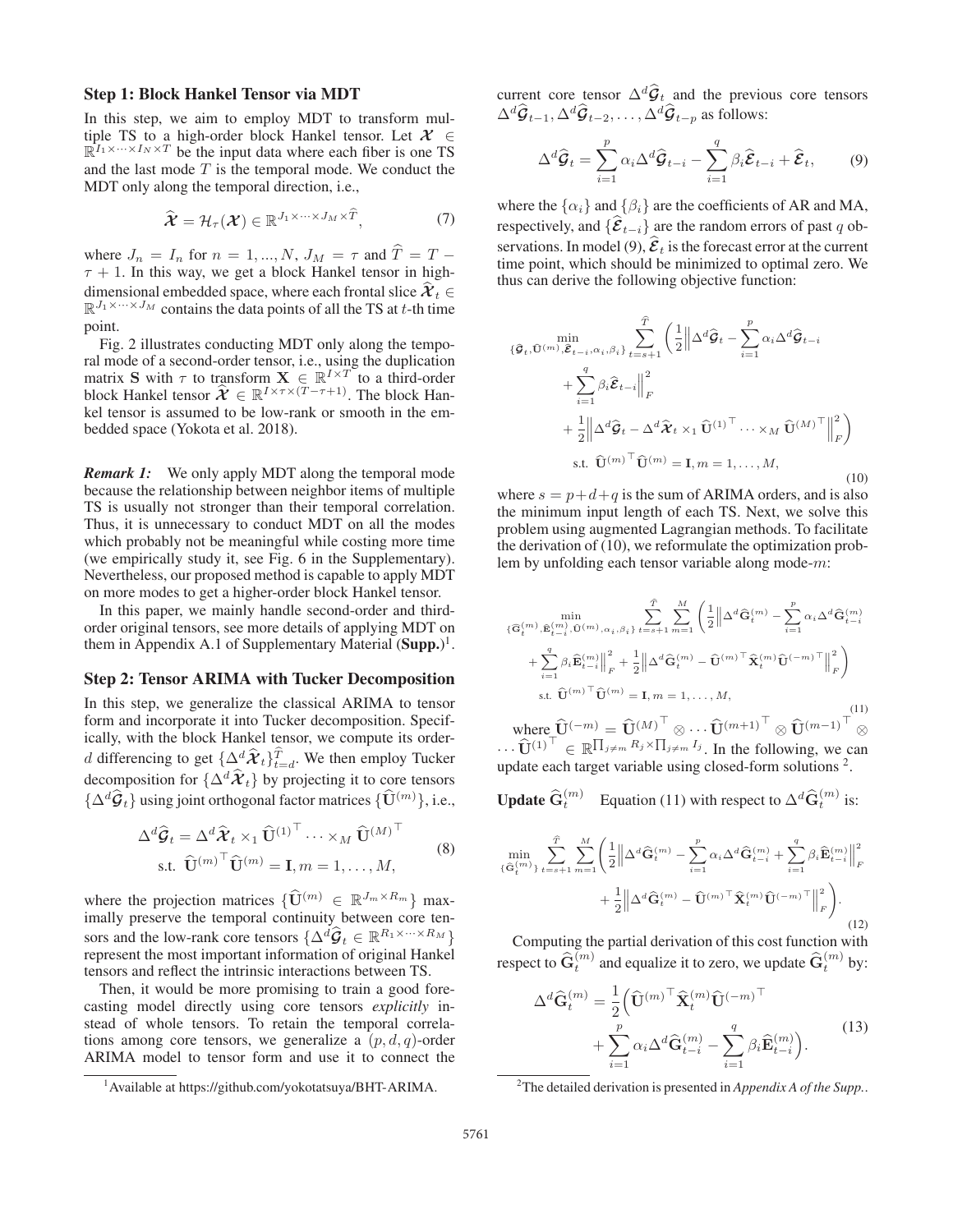#### Step 1: Block Hankel Tensor via MDT

In this step, we aim to employ MDT to transform multiple TS to a high-order block Hankel tensor. Let  $X \in$  $\mathbb{R}^{I_1 \times \cdots \times I_N \times T}$  be the input data where each fiber is one TS and the last mode  $T$  is the temporal mode. We conduct the MDT only along the temporal direction, i.e.,

$$
\widehat{\mathcal{X}} = \mathcal{H}_{\tau}(\mathcal{X}) \in \mathbb{R}^{J_1 \times \cdots \times J_M \times \widehat{T}}, \tag{7}
$$

where  $J_n = I_n$  for  $n = 1, ..., N$ ,  $J_M = \tau$  and  $\hat{T} = T \tau$  + 1. In this way, we get a block Hankel tensor in highdimensional embedded space, where each frontal slice  $\hat{\mathcal{X}}_t$  ∈  $\mathbb{R}^{J_1 \times \cdots \times J_M}$  contains the data points of all the TS at t-th time point.

Fig. 2 illustrates conducting MDT only along the temporal mode of a second-order tensor, i.e., using the duplication matrix **S** with  $\tau$  to transform  $\mathbf{X} \in \mathbb{R}^{I \times T}$  to a third-order block Hankel tensor  $\widehat{\mathcal{X}} \in \mathbb{R}^{I \times \tau \times (\overline{T} - \tau + 1)}$ . The block Hankel tensor is assumed to be low-rank or smooth in the embedded space (Yokota et al. 2018).

*Remark 1:* We only apply MDT along the temporal mode because the relationship between neighbor items of multiple TS is usually not stronger than their temporal correlation. Thus, it is unnecessary to conduct MDT on all the modes which probably not be meaningful while costing more time (we empirically study it, see Fig. 6 in the Supplementary). Nevertheless, our proposed method is capable to apply MDT on more modes to get a higher-order block Hankel tensor.

In this paper, we mainly handle second-order and thirdorder original tensors, see more details of applying MDT on them in Appendix A.1 of Supplementary Material  $(Supp.)<sup>1</sup>$ .

#### Step 2: Tensor ARIMA with Tucker Decomposition

In this step, we generalize the classical ARIMA to tensor form and incorporate it into Tucker decomposition. Specifically, with the block Hankel tensor, we compute its orderd differencing to get  $\{\Delta^d \widehat{\mathcal{X}}_t\}_{t=d}^{\widehat{T}}$ . We then employ Tucker decomposition for  $\{\Delta^d \hat{\mathcal{X}}_t\}$  by projecting it to core tensors  $\{\Delta^d \hat{\mathcal{G}}_t\}$  using joint orthogonal factor matrices  $\{\widehat{\mathbf{U}}^{(m)}\},$  i.e.,

$$
\Delta^{d}\hat{\mathcal{G}}_{t} = \Delta^{d}\hat{\mathcal{X}}_{t} \times_{1} \widehat{\mathbf{U}}^{(1)}^{\top} \cdots \times_{M} \widehat{\mathbf{U}}^{(M)}^{\top}
$$
\ns.t.  $\widehat{\mathbf{U}}^{(m)}^{\top} \widehat{\mathbf{U}}^{(m)} = \mathbf{I}, m = 1, ..., M,$  (8)

where the projection matrices  $\{\widehat{\mathbf{U}}^{(m)} \in \mathbb{R}^{J_m \times R_m}\}\$  maximally preserve the temporal continuity between core tensors and the low-rank core tensors  $\{\Delta^d \hat{\mathcal{G}}_t \in \mathbb{R}^{R_1 \times \cdots \times R_M}\}$ represent the most important information of original Hankel tensors and reflect the intrinsic interactions between TS.

Then, it would be more promising to train a good forecasting model directly using core tensors *explicitly* instead of whole tensors. To retain the temporal correlations among core tensors, we generalize a  $(p, d, q)$ -order ARIMA model to tensor form and use it to connect the current core tensor  $\Delta^d \hat{\mathcal{G}}_t$  and the previous core tensors  $\Delta^d \hat{G}_{t-1}, \Delta^d \hat{G}_{t-2}, \ldots, \Delta^d \hat{G}_{t-n}$  as follows:

$$
\Delta^d \hat{\mathcal{G}}_t = \sum_{i=1}^p \alpha_i \Delta^d \hat{\mathcal{G}}_{t-i} - \sum_{i=1}^q \beta_i \hat{\mathcal{E}}_{t-i} + \hat{\mathcal{E}}_t, \qquad (9)
$$

where the  $\{\alpha_i\}$  and  $\{\beta_i\}$  are the coefficients of AR and MA, respectively, and  $\{\hat{\mathcal{E}}_{t-i}\}\$  are the random errors of past q observations. In model (9),  $\mathcal{E}_t$  is the forecast error at the current time point, which should be minimized to optimal zero. We thus can derive the following objective function:

$$
\{\hat{\mathbf{G}}_t, \hat{\mathbf{U}}^{(m)}, \hat{\tilde{\mathbf{E}}}_{t-i}, \alpha_i, \beta_i\} \sum_{t=s+1}^{\hat{T}} \left( \frac{1}{2} \left\| \Delta^d \hat{\mathbf{G}}_t - \sum_{i=1}^p \alpha_i \Delta^d \hat{\mathbf{G}}_{t-i} \right. \right. \\ \left. + \sum_{i=1}^q \beta_i \hat{\boldsymbol{\mathcal{E}}}_{t-i} \right\|_F^2 \\ \left. + \frac{1}{2} \left\| \Delta^d \hat{\mathbf{G}}_t - \Delta^d \hat{\mathbf{X}}_t \times_1 \hat{\mathbf{U}}^{(1) \top} \cdots \times_M \hat{\mathbf{U}}^{(M) \top} \right\|_F^2 \right) \\ \text{s.t. } \hat{\mathbf{U}}^{(m) \top} \hat{\mathbf{U}}^{(m)} = \mathbf{I}, m = 1, \dots, M,
$$
\n(10)

where  $s = p+d+q$  is the sum of ARIMA orders, and is also the minimum input length of each TS. Next, we solve this problem using augmented Lagrangian methods. To facilitate the derivation of (10), we reformulate the optimization problem by unfolding each tensor variable along mode-m:

$$
\begin{split}\n&\min_{\{\widehat{\mathbf{G}}_{t}^{(m)}, \widehat{\mathbf{E}}_{t-i}^{(m)}, \widehat{\mathbf{U}}^{(m)}, \alpha_{i}, \beta_{i}\}} & \sum_{t=s+1}^{\widehat{T}} \sum_{m=1}^{M} \left( \frac{1}{2} \left\| \Delta^{d} \widehat{\mathbf{G}}_{t}^{(m)} - \sum_{i=1}^{p} \alpha_{i} \Delta^{d} \widehat{\mathbf{G}}_{t-i}^{(m)} \right. \right. \\
&\left. + \sum_{i=1}^{q} \beta_{i} \widehat{\mathbf{E}}_{t-i}^{(m)} \right\|_{F}^{2} + \frac{1}{2} \left\| \Delta^{d} \widehat{\mathbf{G}}_{t}^{(m)} - \widehat{\mathbf{U}}^{(m)} \widehat{\mathbf{X}}_{t}^{(m)} \widehat{\mathbf{U}}^{(-m)} \widehat{\mathbf{T}} \right\|_{F}^{2}\n\end{split}
$$
\n
$$
\text{s.t. } \widehat{\mathbf{U}}^{(m)} \top \widehat{\mathbf{U}}^{(m)} = \mathbf{I}, m = 1, \dots, M,
$$
\n
$$
\widehat{\mathbf{C}}^{(m)} \top \widehat{\mathbf{U}}^{(m)} = \widehat{\mathbf{C}}^{(m)} \mathbf{I}, \dots, \widehat{\mathbf{C}}^{(m)} \top \widehat{\mathbf{T}}^{(m)} \widehat{\mathbf{T}}^{(m)} \widehat{\mathbf{T}}^{(m)} \widehat{\mathbf{T}}^{(m)} \widehat{\mathbf{T}}^{(m)} \widehat{\mathbf{T}}^{(m)} \widehat{\mathbf{T}}^{(m)} \widehat{\mathbf{T}}^{(m)} \widehat{\mathbf{T}}^{(m)} \widehat{\mathbf{T}}^{(m)} \widehat{\mathbf{T}}^{(m)} \widehat{\mathbf{T}}^{(m)} \widehat{\mathbf{T}}^{(m)} \widehat{\mathbf{T}}^{(m)} \widehat{\mathbf{T}}^{(m)} \widehat{\mathbf{T}}^{(m)} \widehat{\mathbf{T}}^{(m)} \widehat{\mathbf{T}}^{(m)} \widehat{\mathbf{T}}^{(m)} \widehat{\mathbf{T}}^{(m)} \widehat{\mathbf{T}}^{(m)} \widehat{\mathbf{T}}^{(m)} \widehat{\mathbf{T}}^{(m)} \widehat{\mathbf{T}}^{(m)} \widehat{\mathbf{T}}^{(m)} \widehat{\math
$$

where  $\widehat{U}^{(-m)} = \widehat{U}^{(M)^\top} \otimes \cdots \widehat{U}^{(m+1)^\top} \otimes \widehat{U}^{(m-1)^\top} \otimes$  $\cdots \widehat{\mathbf{U}}^{(1)^\top} \in \mathbb{R}^{\prod_{j \neq m} R_j \times \prod_{j \neq m} I_j}$ . In the following, we can update each target variable using closed-form solutions 2.

**Update**  $\widehat{\mathbf{G}}_t^{(m)}$  Equation (11) with respect to  $\Delta^d \widehat{\mathbf{G}}_t^{(m)}$  is:

$$
\min_{\{\hat{\mathbf{G}}_{t}^{(m)}\}} \sum_{t=s+1}^{\hat{T}} \sum_{m=1}^{M} \left( \frac{1}{2} \left\| \Delta^{d} \hat{\mathbf{G}}_{t}^{(m)} - \sum_{i=1}^{p} \alpha_{i} \Delta^{d} \hat{\mathbf{G}}_{t-i}^{(m)} + \sum_{i=1}^{q} \beta_{i} \hat{\mathbf{E}}_{t-i}^{(m)} \right\|_{F}^{2} + \frac{1}{2} \left\| \Delta^{d} \hat{\mathbf{G}}_{t}^{(m)} - \hat{\mathbf{U}}^{(m)} \tilde{\mathbf{X}}_{t}^{(m)} \hat{\mathbf{U}}^{(-m)} \right\|_{F}^{2} \right). \tag{12}
$$

Computing the partial derivation of this cost function with respect to  $\widehat{\mathbf{G}}_{t}^{(m)}$  and equalize it to zero, we update  $\widehat{\mathbf{G}}_{t}^{(m)}$  by:

$$
\Delta^{d}\widehat{\mathbf{G}}_{t}^{(m)} = \frac{1}{2} \Big( \widehat{\mathbf{U}}^{(m)}^{\top} \widehat{\mathbf{X}}_{t}^{(m)} \widehat{\mathbf{U}}^{(-m)}^{\top} + \sum_{i=1}^{p} \alpha_{i} \Delta^{d} \widehat{\mathbf{G}}_{t-i}^{(m)} - \sum_{i=1}^{q} \beta_{i} \widehat{\mathbf{E}}_{t-i}^{(m)} \Big). \tag{13}
$$

<sup>&</sup>lt;sup>1</sup> Available at https://github.com/yokotatsuya/BHT-ARIMA.

<sup>2</sup> The detailed derivation is presented in *Appendix A of the Supp.*.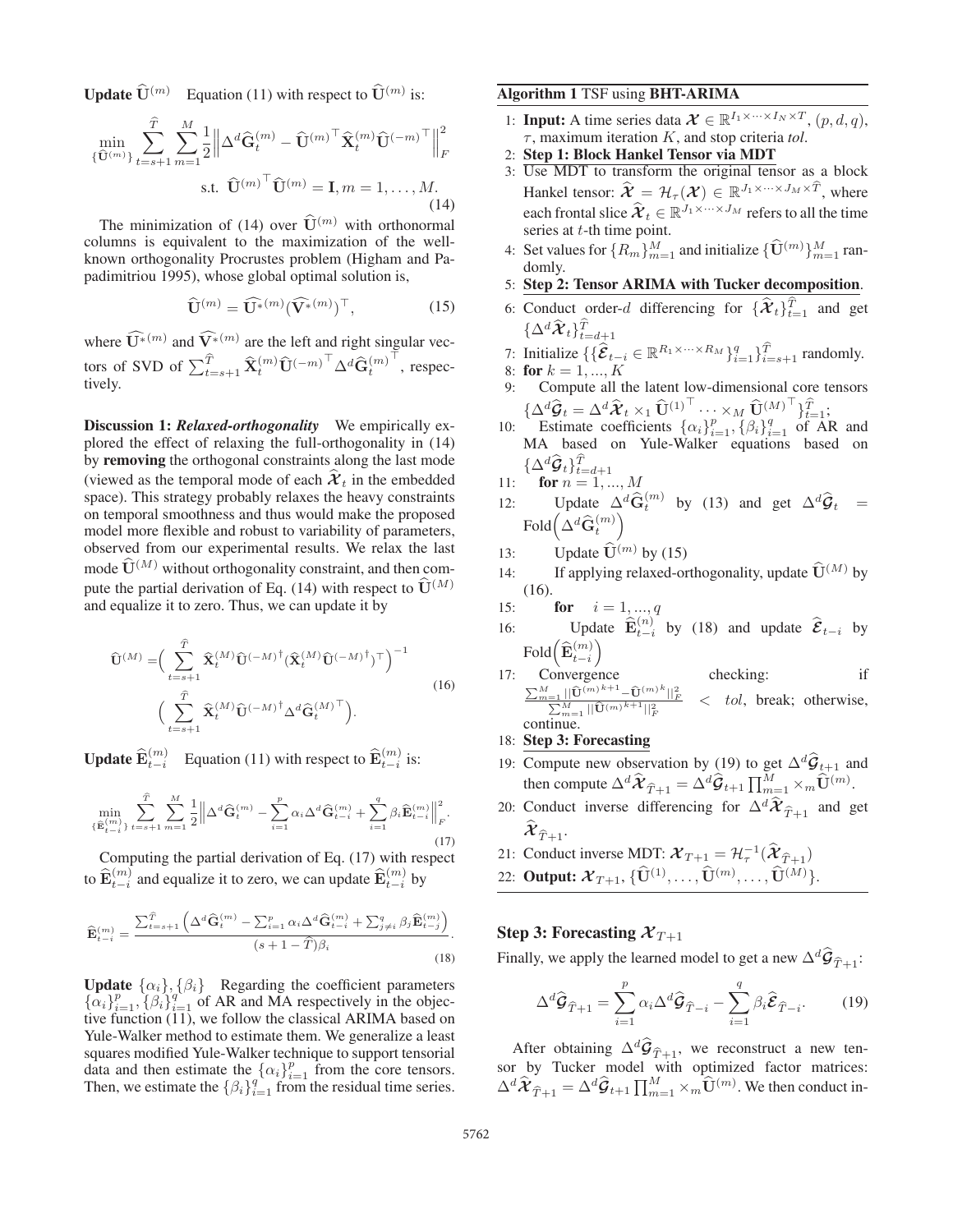**Update**  $\widehat{\mathbf{U}}^{(m)}$  Equation (11) with respect to  $\widehat{\mathbf{U}}^{(m)}$  is:

$$
\min_{\{\widehat{\mathbf{U}}^{(m)}\}} \sum_{t=s+1}^{\widehat{T}} \sum_{m=1}^{M} \frac{1}{2} \left\| \Delta^d \widehat{\mathbf{G}}_t^{(m)} - \widehat{\mathbf{U}}^{(m)^\top} \widehat{\mathbf{X}}_t^{(m)} \widehat{\mathbf{U}}^{(-m)^\top} \right\|_F^2
$$
  
s.t.  $\widehat{\mathbf{U}}^{(m)^\top} \widehat{\mathbf{U}}^{(m)} = \mathbf{I}, m = 1, ..., M.$  (14)

The minimization of (14) over  $\widehat{U}^{(m)}$  with orthonormal columns is equivalent to the maximization of the wellknown orthogonality Procrustes problem (Higham and Papadimitriou 1995), whose global optimal solution is,

$$
\widehat{\mathbf{U}}^{(m)} = \widehat{\mathbf{U}^*}^{(m)} (\widehat{\mathbf{V}^*}^{(m)})^\top, \tag{15}
$$

where  $\widehat{\mathbf{U}^{*}}^{(m)}$  and  $\widehat{\mathbf{V}}^{*}(m)$  are the left and right singular vectors of SVD of  $\sum_{t=s+1}^{\widehat{T}} \widehat{\mathbf{X}}_t^{(m)} \widehat{\mathbf{U}}^{(-m)^\top} \Delta^d \widehat{\mathbf{G}}_t^{(m)}$  $\top$ , respectively.

Discussion 1: *Relaxed-orthogonality* We empirically explored the effect of relaxing the full-orthogonality in (14) by removing the orthogonal constraints along the last mode (viewed as the temporal mode of each  $\hat{\mathcal{X}}_t$  in the embedded space). This strategy probably relaxes the heavy constraints on temporal smoothness and thus would make the proposed model more flexible and robust to variability of parameters, observed from our experimental results. We relax the last mode  $\widehat{\mathbf{U}}^{(M)}$  without orthogonality constraint, and then compute the partial derivation of Eq. (14) with respect to  $\widehat{U}^{(M)}$ and equalize it to zero. Thus, we can update it by

$$
\widehat{\mathbf{U}}^{(M)} = \left(\sum_{t=s+1}^{\widehat{T}} \widehat{\mathbf{X}}_t^{(M)} \widehat{\mathbf{U}}^{(-M)^\dagger} (\widehat{\mathbf{X}}_t^{(M)} \widehat{\mathbf{U}}^{(-M)^\dagger})^\top\right)^{-1}
$$
\n
$$
\left(\sum_{t=s+1}^{\widehat{T}} \widehat{\mathbf{X}}_t^{(M)} \widehat{\mathbf{U}}^{(-M)^\dagger} \Delta^d \widehat{\mathbf{G}}_t^{(M)^\top}\right). \tag{16}
$$

Update  $\widehat{\mathbf{E}}_{t-i}^{(m)}$  $\begin{bmatrix} (m) \\ t-i \end{bmatrix}$  Equation (11) with respect to  $\widehat{\mathbf{E}}_{t-i}^{(m)}$  is:

$$
\min_{\{\widehat{\mathbf{E}}_{t-i}^{(m)}\}} \sum_{t=s+1}^{\widehat{T}} \sum_{m=1}^{M} \frac{1}{2} \left\| \Delta^d \widehat{\mathbf{G}}_t^{(m)} - \sum_{i=1}^p \alpha_i \Delta^d \widehat{\mathbf{G}}_{t-i}^{(m)} + \sum_{i=1}^q \beta_i \widehat{\mathbf{E}}_{t-i}^{(m)} \right\|_F^2. \tag{17}
$$

Computing the partial derivation of Eq. (17) with respect to  $\widehat{\mathbf{E}}_{t-i}^{(m)}$  and equalize it to zero, we can update  $\widehat{\mathbf{E}}_{t-i}^{(m)}$  by

$$
\widehat{\mathbf{E}}_{t-i}^{(m)} = \frac{\sum_{t=s+1}^{\widehat{T}} \left( \Delta^d \widehat{\mathbf{G}}_t^{(m)} - \sum_{i=1}^p \alpha_i \Delta^d \widehat{\mathbf{G}}_{t-i}^{(m)} + \sum_{j \neq i}^q \beta_j \widehat{\mathbf{E}}_{t-j}^{(m)} \right)}{(s+1-\widehat{T})\beta_i}.
$$
\n(18)

Update  $\{\alpha_i\}$ ,  $\{\beta_i\}$  Regarding the coefficient parameters  ${\alpha_i}_{i=1}^p, {\beta_i}_{i=1}^q$  of AR and MA respectively in the objective function (11), we follow the classical ARIMA based on Yule-Walker method to estimate them. We generalize a least squares modified Yule-Walker technique to support tensorial data and then estimate the  $\{\alpha_i\}_{i=1}^p$  from the core tensors.<br>Then, we estimate the  $\{\beta_i\}_{i=1}^q$  from the residual time series.

# Algorithm 1 TSF using BHT-ARIMA

- 1: **Input:** A time series data  $\mathcal{X} \in \mathbb{R}^{I_1 \times \cdots \times I_N \times T}$ ,  $(p, d, q)$ ,  $\tau$ , maximum iteration  $K$ , and stop criteria *tol*.
- 2: Step 1: Block Hankel Tensor via MDT
- 3: Use MDT to transform the original tensor as a block Hankel tensor:  $\hat{\mathcal{X}} = \mathcal{H}_{\tau}(\mathcal{X}) \in \mathbb{R}^{J_1 \times \cdots \times J_M \times \widehat{T}}$ , where each frontal slice  $\widehat{\mathbfcal{X}}_t \in \mathbb{R}^{J_1 \times \cdots \times J_M}$  refers to all the time series at *t*-th time point.
- 4: Set values for  $\{R_m\}_{m=1}^M$  and initialize  $\{\widehat{\mathbf{U}}^{(m)}\}_{m=1}^M$  randomly.
- 5: Step 2: Tensor ARIMA with Tucker decomposition.
- 6: Conduct order-d differencing for  $\{\widehat{\mathcal{X}}_t\}_{t=1}^{\widehat{T}}$  and get  $\{\Delta^d \widehat{\boldsymbol{\mathcal{X}}}_t\}_{t=d+1}^{\widehat{T}}$
- 7: Initialize {{ $\{\hat{\mathcal{E}}_{t-i} \in \mathbb{R}^{R_1 \times \cdots \times R_M}\}_{i=1}^q$  } $\hat{T}_{i=s+1}$  randomly. 8: for  $k = 1, ..., K$
- Compute all the latent low-dimensional core tensors
- 10:  $\{\Delta^d \hat{G}_t = \Delta^d \hat{\mathcal{X}}_t \times_1 \hat{U}^{(1)^\top} \cdots \times_M \hat{U}^{(M)^\top}\}_{t=1}^{\hat{T}}$ ;<br>10: Estimate coefficients  $\{\alpha_i\}_{i=1}^p, \{\beta_i\}_{i=1}^q$  of AR and MA based on Yule-Walker equations based on  $\{\Delta^d \widehat{\bm{\mathcal{G}}}_t\}_{t=d+1}^{\widehat{T}}$

11: for 
$$
n = 1, ..., M
$$

- 12: Update  $\Delta^d \widehat{\mathbf{G}}_t^{(m)}$  by (13) and get  $\Delta^d \widehat{\mathbf{G}}_t$  =  $\text{Fold}\left(\Delta^d\widehat{\mathbf{G}}_t^{(m)}\right)$
- 13: Update  $\widehat{\mathbf{U}}^{(m)}$  by (15)
- 14: If applying relaxed-orthogonality, update  $\widehat{\mathbf{U}}^{(M)}$  by (16).
- 15: **for**  $i = 1, ..., q$
- 16: Update  $\widehat{\mathbf{E}}_{t-i}^{(n)}$  by (18) and update  $\widehat{\mathbf{\mathcal{E}}}_{t-i}$  by Fold  $\left(\widehat{\mathbf{E}}_{t-i}^{(m)}\right)$  $\overline{ }$
- 17: Convergence checking: if  $\frac{\sum_{m=1}^{M} ||\widehat{\mathbf{U}}^{(m)}{}^{k+1} - \widehat{\mathbf{U}}^{(m)}{}^{k}||_F^2}{\sum_{m=1}^{M} ||\widehat{\mathbf{U}}^{(m)}{}^{k+1}||_F^2}$  < tol, break; otherwise, continue.
- 18: Step 3: Forecasting
- 19: Compute new observation by (19) to get  $\Delta^d \hat{G}_{t+1}$  and then compute  $\Delta^d \hat{\mathcal{X}}_{\hat{T}+1} = \Delta^d \hat{\mathcal{G}}_{t+1} \prod_{m=1}^M \times_m \hat{\vec{U}}^{(m)}$ .
- 20: Conduct inverse differencing for  $\Delta^d \hat{\mathcal{X}}_{\hat{T}+1}$  and get  $x_{\widehat{T}+1}$ .
- 21: Conduct inverse MDT:  $\mathcal{X}_{T+1} = \mathcal{H}_{\tau}^{-1}(\hat{\mathcal{X}}_{\hat{T}+1})$
- 22: **Output:**  $\mathcal{X}_{T+1}, \{\mathbf{\widehat{U}}^{(1)}, \dots, \mathbf{\widehat{U}}^{(m)}, \dots, \mathbf{\widehat{U}}^{(M)}\}.$

# Step 3: Forecasting  $\mathcal{X}_{T+1}$

Finally, we apply the learned model to get a new  $\Delta^d \widehat{\mathcal{G}}_{\widehat{T}+1}$ :

$$
\Delta^d \hat{\mathcal{G}}_{\hat{T}+1} = \sum_{i=1}^p \alpha_i \Delta^d \hat{\mathcal{G}}_{\hat{T}-i} - \sum_{i=1}^q \beta_i \hat{\mathcal{E}}_{\hat{T}-i}.
$$
 (19)

After obtaining  $\Delta^d \hat{G}_{\hat{T}+1}$ , we reconstruct a new tensor by Tucker model with optimized factor matrices:  $\Delta^d \hat{\mathcal{X}}_{\hat{T}+1} = \Delta^d \hat{\mathcal{G}}_{t+1} \prod_{m=1}^M \times_m \hat{\mathbf{U}}^{(m)}$ . We then conduct in-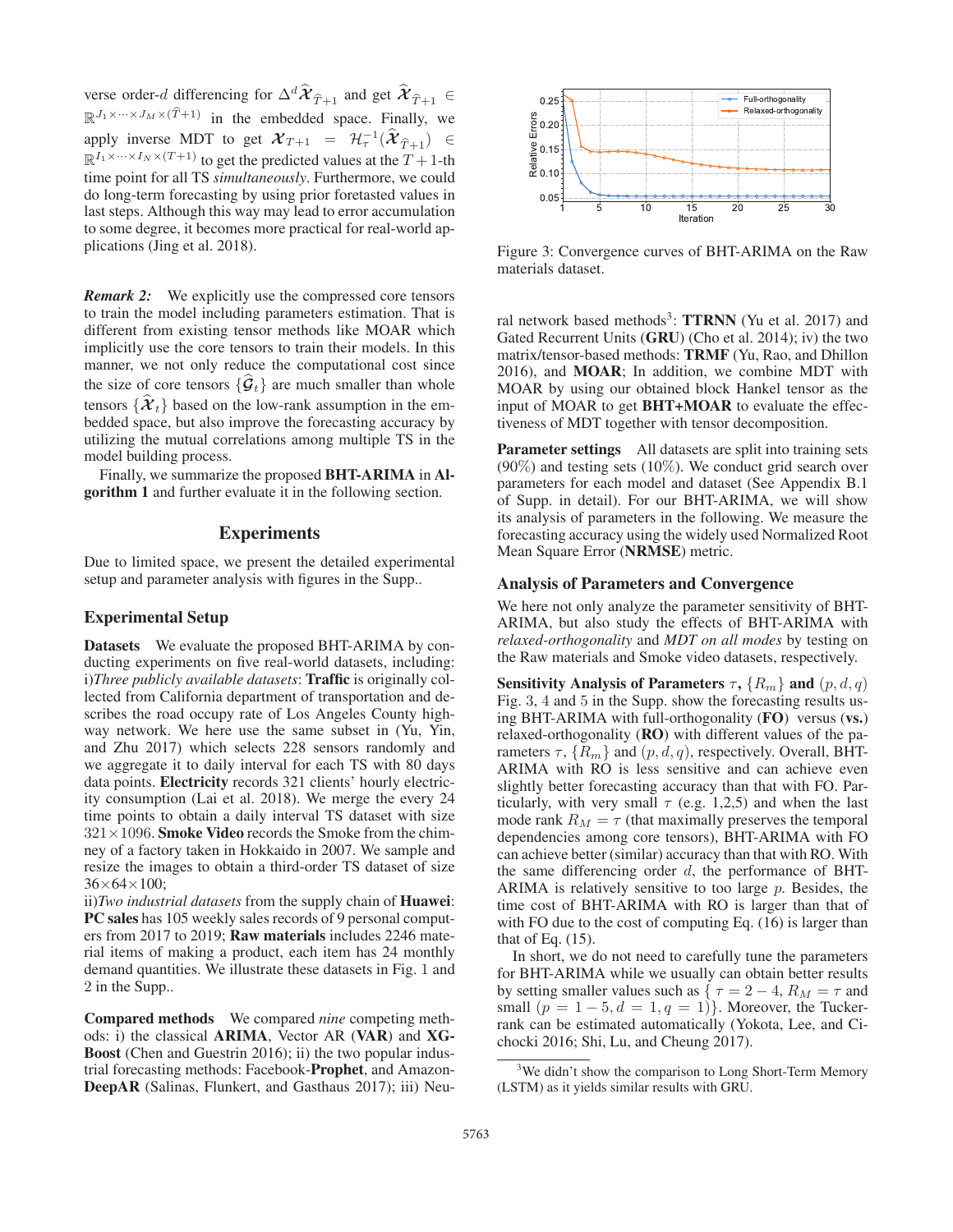verse order-*d* differencing for  $\Delta^d \hat{\mathcal{X}}_{\hat{T}+1}$  and get  $\hat{\mathcal{X}}_{\hat{T}+1} \in$  $\mathbb{R}^{J_1 \times \cdots \times J_M \times (\hat{T}+1)}$  in the embedded space. Finally, we apply inverse MDT to get  $\mathcal{X}_{T+1} = \mathcal{H}_{\tau}^{-1}(\hat{\mathcal{X}}_{\hat{T}+1}) \in$  $\mathbb{R}^{I_1 \times \cdots \times I_N \times (T+1)}$  to get the predicted values at the  $T+1$ -th time point for all TS *simultaneously*. Furthermore, we could do long-term forecasting by using prior foretasted values in last steps. Although this way may lead to error accumulation to some degree, it becomes more practical for real-world applications (Jing et al. 2018).

*Remark 2:* We explicitly use the compressed core tensors to train the model including parameters estimation. That is different from existing tensor methods like MOAR which implicitly use the core tensors to train their models. In this manner, we not only reduce the computational cost since the size of core tensors  $\{\widehat{G}_t\}$  are much smaller than whole tensors  $\{\mathcal{X}_t\}$  based on the low-rank assumption in the embedded space, but also improve the forecasting accuracy by utilizing the mutual correlations among multiple TS in the model building process.

Finally, we summarize the proposed BHT-ARIMA in Algorithm 1 and further evaluate it in the following section.

## **Experiments**

Due to limited space, we present the detailed experimental setup and parameter analysis with figures in the Supp..

#### Experimental Setup

Datasets We evaluate the proposed BHT-ARIMA by conducting experiments on five real-world datasets, including: i)*Three publicly available datasets*: Traffic is originally collected from California department of transportation and describes the road occupy rate of Los Angeles County highway network. We here use the same subset in (Yu, Yin, and Zhu 2017) which selects 228 sensors randomly and we aggregate it to daily interval for each TS with 80 days data points. Electricity records 321 clients' hourly electricity consumption (Lai et al. 2018). We merge the every 24 time points to obtain a daily interval TS dataset with size  $321 \times 1096$ . Smoke Video records the Smoke from the chimney of a factory taken in Hokkaido in 2007. We sample and resize the images to obtain a third-order TS dataset of size  $36\times64\times100$ :

ii)*Two industrial datasets* from the supply chain of Huawei: PC sales has 105 weekly sales records of 9 personal computers from 2017 to 2019; Raw materials includes 2246 material items of making a product, each item has 24 monthly demand quantities. We illustrate these datasets in Fig. 1 and 2 in the Supp..

Compared methods We compared *nine* competing methods: i) the classical ARIMA, Vector AR (VAR) and XG-Boost (Chen and Guestrin 2016); ii) the two popular industrial forecasting methods: Facebook-Prophet, and Amazon-DeepAR (Salinas, Flunkert, and Gasthaus 2017); iii) Neu-



Figure 3: Convergence curves of BHT-ARIMA on the Raw materials dataset.

ral network based methods<sup>3</sup>: **TTRNN** (Yu et al. 2017) and Gated Recurrent Units (GRU) (Cho et al. 2014); iv) the two matrix/tensor-based methods: TRMF (Yu, Rao, and Dhillon 2016), and MOAR; In addition, we combine MDT with MOAR by using our obtained block Hankel tensor as the input of MOAR to get BHT+MOAR to evaluate the effectiveness of MDT together with tensor decomposition.

Parameter settings All datasets are split into training sets  $(90\%)$  and testing sets  $(10\%)$ . We conduct grid search over parameters for each model and dataset (See Appendix B.1 of Supp. in detail). For our BHT-ARIMA, we will show its analysis of parameters in the following. We measure the forecasting accuracy using the widely used Normalized Root Mean Square Error (NRMSE) metric.

#### Analysis of Parameters and Convergence

We here not only analyze the parameter sensitivity of BHT-ARIMA, but also study the effects of BHT-ARIMA with *relaxed-orthogonality* and *MDT on all modes* by testing on the Raw materials and Smoke video datasets, respectively.

Sensitivity Analysis of Parameters  $\tau$ ,  $\{R_m\}$  and  $(p, d, q)$ Fig. 3, 4 and 5 in the Supp. show the forecasting results using BHT-ARIMA with full-orthogonality (FO) versus (vs.) relaxed-orthogonality (RO) with different values of the parameters  $\tau$ ,  $\{R_m\}$  and  $(p, d, q)$ , respectively. Overall, BHT-ARIMA with RO is less sensitive and can achieve even slightly better forecasting accuracy than that with FO. Particularly, with very small  $\tau$  (e.g. 1,2,5) and when the last mode rank  $R_M = \tau$  (that maximally preserves the temporal dependencies among core tensors), BHT-ARIMA with FO can achieve better (similar) accuracy than that with RO. With the same differencing order  $d$ , the performance of BHT-ARIMA is relatively sensitive to too large  $p$ . Besides, the time cost of BHT-ARIMA with RO is larger than that of with FO due to the cost of computing Eq.  $(16)$  is larger than that of Eq.  $(15)$ .

In short, we do not need to carefully tune the parameters for BHT-ARIMA while we usually can obtain better results by setting smaller values such as { $\tau = 2 - 4$ ,  $R_M = \tau$  and small  $(p = 1 - 5, d = 1, q = 1)$ . Moreover, the Tuckerrank can be estimated automatically (Yokota, Lee, and Cichocki 2016; Shi, Lu, and Cheung 2017).

<sup>&</sup>lt;sup>3</sup>We didn't show the comparison to Long Short-Term Memory (LSTM) as it yields similar results with GRU.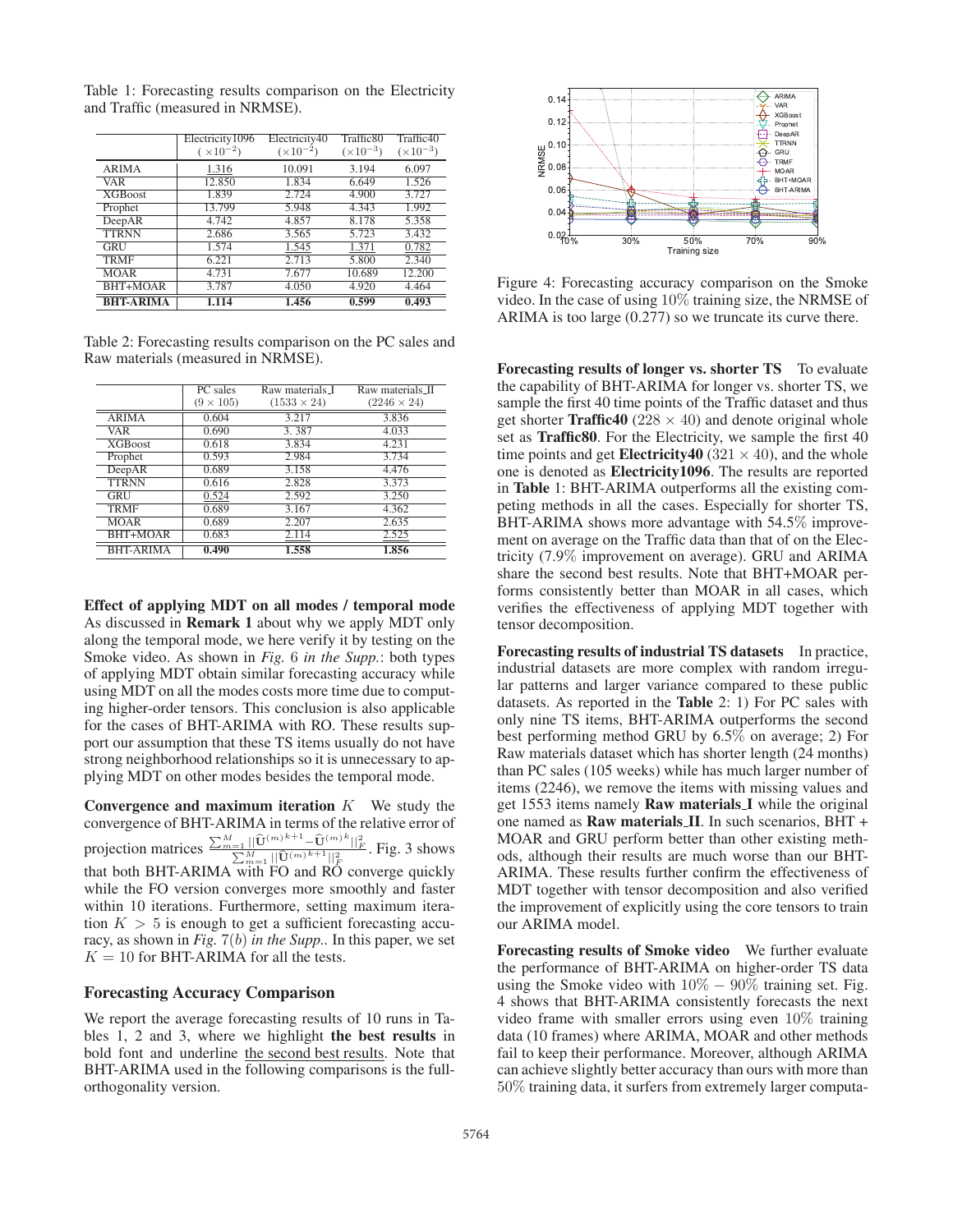|                  | Electricity1096<br>$(\times 10^{-2})$ | Electricity40<br>$(\times 10^{-2})$ | Traffic80<br>$(\times 10^{-3})$ | Traffic40<br>$(\times 10^{-3})$ |
|------------------|---------------------------------------|-------------------------------------|---------------------------------|---------------------------------|
| <b>ARIMA</b>     | 1.316                                 | 10.091                              | 3.194                           | 6.097                           |
| <b>VAR</b>       | 12.850                                | 1.834                               | 6.649                           | 1.526                           |
| <b>XGBoost</b>   | 1.839                                 | 2.724                               | 4.900                           | 3.727                           |
| Prophet          | 13.799                                | 5.948                               | 4.343                           | 1.992                           |
| DeepAR           | 4.742                                 | 4.857                               | 8.178                           | 5.358                           |
| <b>TTRNN</b>     | 2.686                                 | 3.565                               | 5.723                           | 3.432                           |
| <b>GRU</b>       | 1.574                                 | 1.545                               | 1.371                           | 0.782                           |
| <b>TRMF</b>      | 6.221                                 | 2.713                               | 5.800                           | 2.340                           |
| <b>MOAR</b>      | 4.731                                 | 7.677                               | 10.689                          | 12.200                          |
| BHT+MOAR         | 3.787                                 | 4.050                               | 4.920                           | 4.464                           |
| <b>BHT-ARIMA</b> | 1.114                                 | 1.456                               | 0.599                           | 0.493                           |

Table 1: Forecasting results comparison on the Electricity and Traffic (measured in NRMSE).

Table 2: Forecasting results comparison on the PC sales and Raw materials (measured in NRMSE).

|                  | PC sales<br>$(9 \times 105)$ | Raw materials_I<br>$(1533 \times 24)$ | Raw materials_II<br>$(2246 \times 24)$ |
|------------------|------------------------------|---------------------------------------|----------------------------------------|
| <b>ARIMA</b>     | 0.604                        | 3.217                                 | 3.836                                  |
| <b>VAR</b>       | 0.690                        | 3.387                                 | 4.033                                  |
| <b>XGBoost</b>   | 0.618                        | 3.834                                 | 4.231                                  |
| Prophet          | 0.593                        | 2.984                                 | 3.734                                  |
| DeepAR           | 0.689                        | 3.158                                 | 4.476                                  |
| <b>TTRNN</b>     | 0.616                        | 2.828                                 | 3.373                                  |
| GRU              | 0.524                        | 2.592                                 | 3.250                                  |
| <b>TRMF</b>      | 0.689                        | 3.167                                 | 4.362                                  |
| <b>MOAR</b>      | 0.689                        | 2.207                                 | 2.635                                  |
| BHT+MOAR         | 0.683                        | 2.114                                 | 2.525                                  |
| <b>BHT-ARIMA</b> | 0.490                        | 1.558                                 | 1.856                                  |

Effect of applying MDT on all modes / temporal mode As discussed in Remark 1 about why we apply MDT only along the temporal mode, we here verify it by testing on the Smoke video. As shown in *Fig.* 6 *in the Supp.*: both types of applying MDT obtain similar forecasting accuracy while using MDT on all the modes costs more time due to computing higher-order tensors. This conclusion is also applicable for the cases of BHT-ARIMA with RO. These results support our assumption that these TS items usually do not have strong neighborhood relationships so it is unnecessary to applying MDT on other modes besides the temporal mode.

Convergence and maximum iteration  $K$  We study the convergence of BHT-ARIMA in terms of the relative error of projection matrices  $\frac{\sum_{m=1}^{M} ||\widehat{\mathbf{U}}^{(m)}{}^{k+1} - \widehat{\mathbf{U}}^{(m)}{}^{k}||_F^2}{\sum_{m=1}^{M} ||\widehat{\mathbf{U}}^{(m)}{}^{k+1}||_F^2}$ . Fig. 3 shows that both BHT-ARIMA with FO and RO converge quickly while the FO version converges more smoothly and faster within 10 iterations. Furthermore, setting maximum iteration  $K > 5$  is enough to get a sufficient forecasting accuracy, as shown in *Fig.* 7(b) *in the Supp..* In this paper, we set  $K = 10$  for BHT-ARIMA for all the tests.

### Forecasting Accuracy Comparison

We report the average forecasting results of 10 runs in Tables 1, 2 and 3, where we highlight the best results in bold font and underline the second best results. Note that BHT-ARIMA used in the following comparisons is the fullorthogonality version.



Figure 4: Forecasting accuracy comparison on the Smoke video. In the case of using 10% training size, the NRMSE of ARIMA is too large (0.277) so we truncate its curve there.

Forecasting results of longer vs. shorter TS To evaluate the capability of BHT-ARIMA for longer vs. shorter TS, we sample the first 40 time points of the Traffic dataset and thus get shorter **Traffic40** (228  $\times$  40) and denote original whole set as Traffic80. For the Electricity, we sample the first 40 time points and get **Electricity40** (321  $\times$  40), and the whole one is denoted as Electricity1096. The results are reported in Table 1: BHT-ARIMA outperforms all the existing competing methods in all the cases. Especially for shorter TS, BHT-ARIMA shows more advantage with 54.5% improvement on average on the Traffic data than that of on the Electricity (7.9% improvement on average). GRU and ARIMA share the second best results. Note that BHT+MOAR performs consistently better than MOAR in all cases, which verifies the effectiveness of applying MDT together with tensor decomposition.

Forecasting results of industrial TS datasets In practice, industrial datasets are more complex with random irregular patterns and larger variance compared to these public datasets. As reported in the Table 2: 1) For PC sales with only nine TS items, BHT-ARIMA outperforms the second best performing method GRU by 6.5% on average; 2) For Raw materials dataset which has shorter length (24 months) than PC sales (105 weeks) while has much larger number of items (2246), we remove the items with missing values and get 1553 items namely Raw materials I while the original one named as Raw materials II. In such scenarios, BHT + MOAR and GRU perform better than other existing methods, although their results are much worse than our BHT-ARIMA. These results further confirm the effectiveness of MDT together with tensor decomposition and also verified the improvement of explicitly using the core tensors to train our ARIMA model.

Forecasting results of Smoke video We further evaluate the performance of BHT-ARIMA on higher-order TS data using the Smoke video with  $10\% - 90\%$  training set. Fig. 4 shows that BHT-ARIMA consistently forecasts the next video frame with smaller errors using even 10% training data (10 frames) where ARIMA, MOAR and other methods fail to keep their performance. Moreover, although ARIMA can achieve slightly better accuracy than ours with more than 50% training data, it surfers from extremely larger computa-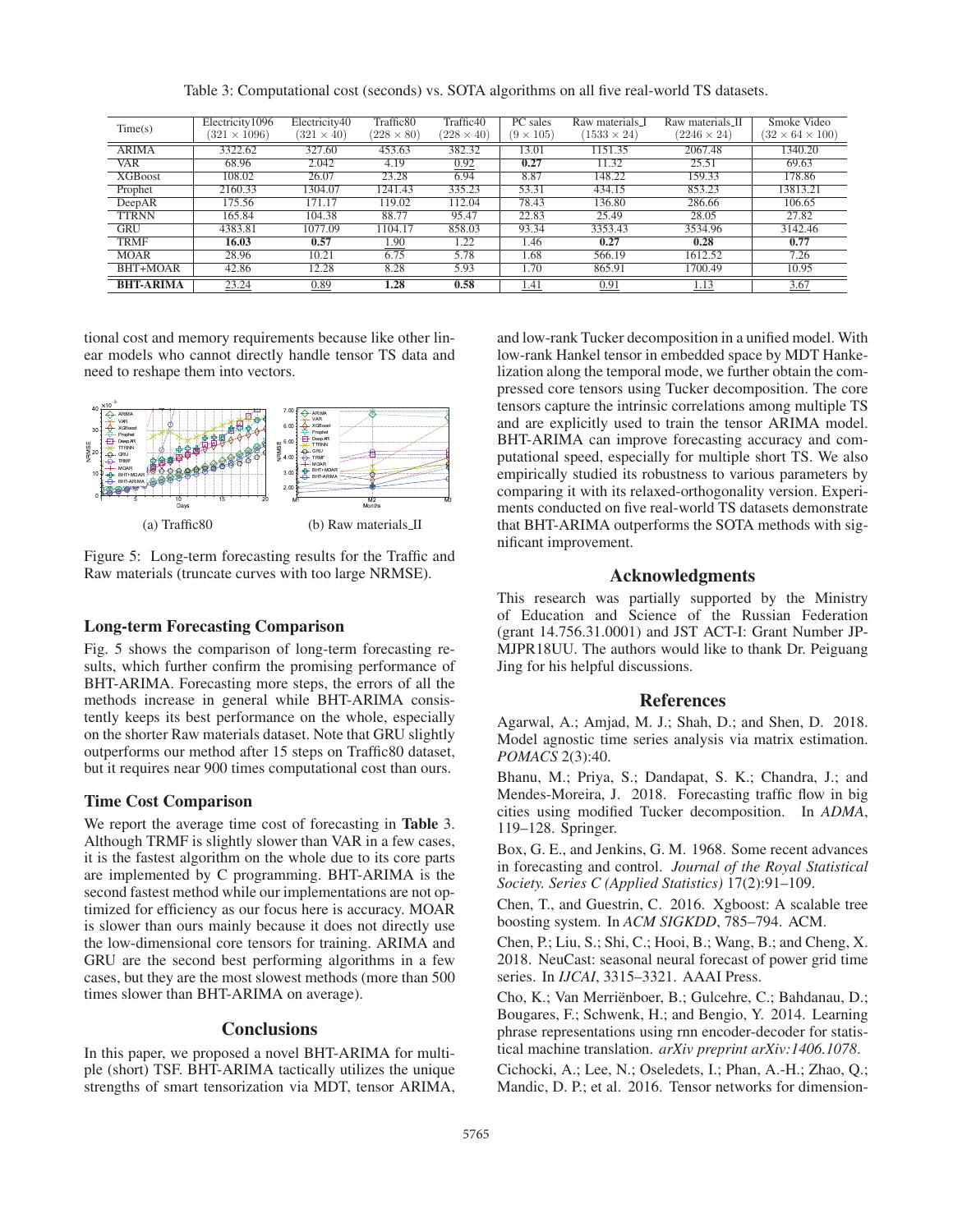| Time(s)          | Electricity1096<br>$(321 \times 1096)$ | Electricity40<br>$(321 \times 40)$ | Traffic80<br>$(228 \times 80)$ | Traffic40<br>$(228 \times 40)$ | PC sales<br>$(9 \times 105)$ | Raw materials_I<br>$(1533 \times 24)$ | Raw materials_II<br>$(2246 \times 24)$ | Smoke Video<br>$(32 \times 64 \times 100)$ |
|------------------|----------------------------------------|------------------------------------|--------------------------------|--------------------------------|------------------------------|---------------------------------------|----------------------------------------|--------------------------------------------|
| <b>ARIMA</b>     | 3322.62                                | 327.60                             | 453.63                         | 382.32                         | 13.01                        | 1151.35                               | 2067.48                                | 1340.20                                    |
| VAR              | 68.96                                  | 2.042                              | 4.19                           | 0.92                           | 0.27                         | 11.32                                 | 25.51                                  | 69.63                                      |
| <b>XGBoost</b>   | 108.02                                 | 26.07                              | 23.28                          | 6.94                           | 8.87                         | 148.22                                | 159.33                                 | 178.86                                     |
| Prophet          | 2160.33                                | 1304.07                            | 1241.43                        | 335.23                         | 53.31                        | 434.15                                | 853.23                                 | 13813.21                                   |
| DeepAR           | 175.56                                 | 171.17                             | 119.02                         | 112.04                         | 78.43                        | 136.80                                | 286.66                                 | 106.65                                     |
| <b>TTRNN</b>     | 165.84                                 | 104.38                             | 88.77                          | 95.47                          | 22.83                        | 25.49                                 | 28.05                                  | 27.82                                      |
| GRU              | 4383.81                                | 1077.09                            | 1104.17                        | 858.03                         | 93.34                        | 3353.43                               | 3534.96                                | 3142.46                                    |
| <b>TRMF</b>      | 16.03                                  | 0.57                               | 1.90                           | 1.22                           | 1.46                         | 0.27                                  | 0.28                                   | 0.77                                       |
| <b>MOAR</b>      | 28.96                                  | 10.21                              | 6.75                           | 5.78                           | 1.68                         | 566.19                                | 1612.52                                | 7.26                                       |
| BHT+MOAR         | 42.86                                  | 12.28                              | 8.28                           | 5.93                           | 1.70                         | 865.91                                | 1700.49                                | 10.95                                      |
| <b>BHT-ARIMA</b> | 23.24                                  | 0.89                               | 1.28                           | 0.58                           | 1.41                         | 0.91                                  | 1.13                                   | 3.67                                       |

Table 3: Computational cost (seconds) vs. SOTA algorithms on all five real-world TS datasets.

tional cost and memory requirements because like other linear models who cannot directly handle tensor TS data and need to reshape them into vectors.



Figure 5: Long-term forecasting results for the Traffic and Raw materials (truncate curves with too large NRMSE).

### Long-term Forecasting Comparison

Fig. 5 shows the comparison of long-term forecasting results, which further confirm the promising performance of BHT-ARIMA. Forecasting more steps, the errors of all the methods increase in general while BHT-ARIMA consistently keeps its best performance on the whole, especially on the shorter Raw materials dataset. Note that GRU slightly outperforms our method after 15 steps on Traffic80 dataset, but it requires near 900 times computational cost than ours.

### Time Cost Comparison

We report the average time cost of forecasting in Table 3. Although TRMF is slightly slower than VAR in a few cases, it is the fastest algorithm on the whole due to its core parts are implemented by C programming. BHT-ARIMA is the second fastest method while our implementations are not optimized for efficiency as our focus here is accuracy. MOAR is slower than ours mainly because it does not directly use the low-dimensional core tensors for training. ARIMA and GRU are the second best performing algorithms in a few cases, but they are the most slowest methods (more than 500 times slower than BHT-ARIMA on average).

### **Conclusions**

In this paper, we proposed a novel BHT-ARIMA for multiple (short) TSF. BHT-ARIMA tactically utilizes the unique strengths of smart tensorization via MDT, tensor ARIMA,

and low-rank Tucker decomposition in a unified model. With low-rank Hankel tensor in embedded space by MDT Hankelization along the temporal mode, we further obtain the compressed core tensors using Tucker decomposition. The core tensors capture the intrinsic correlations among multiple TS and are explicitly used to train the tensor ARIMA model. BHT-ARIMA can improve forecasting accuracy and computational speed, especially for multiple short TS. We also empirically studied its robustness to various parameters by comparing it with its relaxed-orthogonality version. Experiments conducted on five real-world TS datasets demonstrate that BHT-ARIMA outperforms the SOTA methods with significant improvement.

## Acknowledgments

This research was partially supported by the Ministry of Education and Science of the Russian Federation (grant 14.756.31.0001) and JST ACT-I: Grant Number JP-MJPR18UU. The authors would like to thank Dr. Peiguang Jing for his helpful discussions.

### References

Agarwal, A.; Amjad, M. J.; Shah, D.; and Shen, D. 2018. Model agnostic time series analysis via matrix estimation. *POMACS* 2(3):40.

Bhanu, M.; Priya, S.; Dandapat, S. K.; Chandra, J.; and Mendes-Moreira, J. 2018. Forecasting traffic flow in big cities using modified Tucker decomposition. In *ADMA*, 119–128. Springer.

Box, G. E., and Jenkins, G. M. 1968. Some recent advances in forecasting and control. *Journal of the Royal Statistical Society. Series C (Applied Statistics)* 17(2):91–109.

Chen, T., and Guestrin, C. 2016. Xgboost: A scalable tree boosting system. In *ACM SIGKDD*, 785–794. ACM.

Chen, P.; Liu, S.; Shi, C.; Hooi, B.; Wang, B.; and Cheng, X. 2018. NeuCast: seasonal neural forecast of power grid time series. In *IJCAI*, 3315–3321. AAAI Press.

Cho, K.; Van Merrienboer, B.; Gulcehre, C.; Bahdanau, D.; ¨ Bougares, F.; Schwenk, H.; and Bengio, Y. 2014. Learning phrase representations using rnn encoder-decoder for statistical machine translation. *arXiv preprint arXiv:1406.1078*.

Cichocki, A.; Lee, N.; Oseledets, I.; Phan, A.-H.; Zhao, Q.; Mandic, D. P.; et al. 2016. Tensor networks for dimension